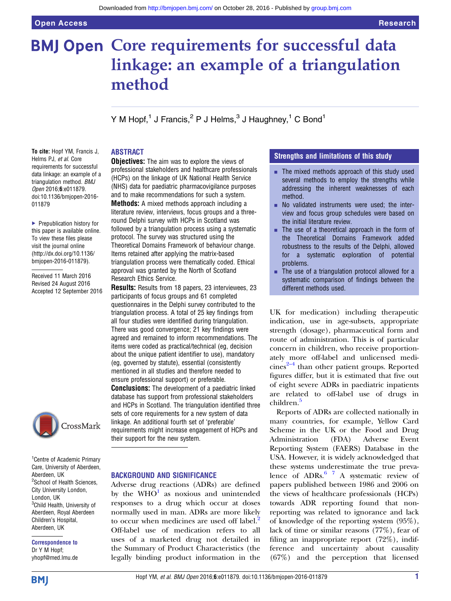# **BMJ Open Core requirements for successful data** linkage: an example of a triangulation method

Y M Hopf,<sup>1</sup> J Francis,<sup>2</sup> P J Helms,<sup>3</sup> J Haughney,<sup>1</sup> C Bond<sup>1</sup>

#### To cite: Hopf YM, Francis J, Helms PJ, et al. Core requirements for successful data linkage: an example of a triangulation method. BMJ Open 2016;6:e011879. doi:10.1136/bmjopen-2016-

▶ Prepublication history for this paper is available online. To view these files please visit the journal online [\(http://dx.doi.org/10.1136/](http://dx.doi.org/10.1136/bmjopen-2016-011879) [bmjopen-2016-011879](http://dx.doi.org/10.1136/bmjopen-2016-011879)).

011879

Received 11 March 2016 Revised 24 August 2016 Accepted 12 September 2016



<sup>1</sup> Centre of Academic Primary Care, University of Aberdeen, Aberdeen, UK <sup>2</sup>School of Health Sciences, City University London, London, UK <sup>3</sup>Child Health, University of Aberdeen, Royal Aberdeen Children's Hospital, Aberdeen, UK

Correspondence to Dr Y M Hopf; yhopf@med.lmu.de

# ABSTRACT

**Objectives:** The aim was to explore the views of professional stakeholders and healthcare professionals (HCPs) on the linkage of UK National Health Service (NHS) data for paediatric pharmacovigilance purposes and to make recommendations for such a system. Methods: A mixed methods approach including a literature review, interviews, focus groups and a threeround Delphi survey with HCPs in Scotland was followed by a triangulation process using a systematic protocol. The survey was structured using the Theoretical Domains Framework of behaviour change. Items retained after applying the matrix-based triangulation process were thematically coded. Ethical approval was granted by the North of Scotland Research Ethics Service.

**Results:** Results from 18 papers, 23 interviewees, 23 participants of focus groups and 61 completed questionnaires in the Delphi survey contributed to the triangulation process. A total of 25 key findings from all four studies were identified during triangulation. There was good convergence; 21 key findings were agreed and remained to inform recommendations. The items were coded as practical/technical (eg, decision about the unique patient identifier to use), mandatory (eg, governed by statute), essential (consistently mentioned in all studies and therefore needed to ensure professional support) or preferable. **Conclusions:** The development of a paediatric linked database has support from professional stakeholders and HCPs in Scotland. The triangulation identified three sets of core requirements for a new system of data linkage. An additional fourth set of 'preferable' requirements might increase engagement of HCPs and their support for the new system.

# BACKGROUND AND SIGNIFICANCE

Adverse drug reactions (ADRs) are defined by the  $WHO<sup>1</sup>$  $WHO<sup>1</sup>$  $WHO<sup>1</sup>$  as noxious and unintended responses to a drug which occur at doses normally used in man. ADRs are more likely to occur when medicines are used off label.<sup>[2](#page-6-0)</sup> Off-label use of medication refers to all uses of a marketed drug not detailed in the Summary of Product Characteristics (the legally binding product information in the

#### Strengths and limitations of this study

- $\blacksquare$  The mixed methods approach of this study used several methods to employ the strengths while addressing the inherent weaknesses of each method.
- $\blacksquare$  No validated instruments were used; the interview and focus group schedules were based on the initial literature review.
- $\blacksquare$  The use of a theoretical approach in the form of the Theoretical Domains Framework added robustness to the results of the Delphi, allowed for a systematic exploration of potential problems.
- $\blacksquare$  The use of a triangulation protocol allowed for a systematic comparison of findings between the different methods used.

UK for medication) including therapeutic indication, use in age-subsets, appropriate strength (dosage), pharmaceutical form and route of administration. This is of particular concern in children, who receive proportionately [m](#page-6-0)ore off-label and unlicensed medi $cines<sup>2-4</sup>$  than other patient groups. Reported figures differ, but it is estimated that five out of eight severe ADRs in paediatric inpatients are related to off-label use of drugs in children.<sup>[5](#page-6-0)</sup>

Reports of ADRs are collected nationally in many countries, for example, Yellow Card Scheme in the UK or the Food and Drug Administration (FDA) Adverse Event Reporting System (FAERS) Database in the USA. However, it is widely acknowledged that these systems underestimate the true prevalence of ADRs.<sup>6</sup> <sup>7</sup> A systematic review of papers published between 1986 and 2006 on the views of healthcare professionals (HCPs) towards ADR reporting found that nonreporting was related to ignorance and lack of knowledge of the reporting system (95%), lack of time or similar reasons (77%), fear of filing an inappropriate report (72%), indifference and uncertainty about causality (67%) and the perception that licensed

**BMJ**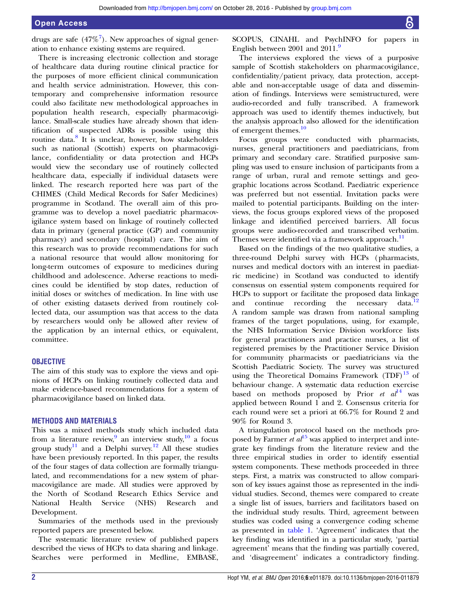### Open Access

drugs are safe  $(47\%)^7$  $(47\%)^7$  $(47\%)^7$ . New approaches of signal generation to enhance existing systems are required.

There is increasing electronic collection and storage of healthcare data during routine clinical practice for the purposes of more efficient clinical communication and health service administration. However, this contemporary and comprehensive information resource could also facilitate new methodological approaches in population health research, especially pharmacovigilance. Small-scale studies have already shown that identification of suspected ADRs is possible using this routine data.<sup>[8](#page-6-0)</sup> It is unclear, however, how stakeholders such as national (Scottish) experts on pharmacovigilance, confidentiality or data protection and HCPs would view the secondary use of routinely collected healthcare data, especially if individual datasets were linked. The research reported here was part of the CHIMES (Child Medical Records for Safer Medicines) programme in Scotland. The overall aim of this programme was to develop a novel paediatric pharmacovigilance system based on linkage of routinely collected data in primary (general practice (GP) and community pharmacy) and secondary (hospital) care. The aim of this research was to provide recommendations for such a national resource that would allow monitoring for long-term outcomes of exposure to medicines during childhood and adolescence. Adverse reactions to medicines could be identified by stop dates, reduction of initial doses or switches of medication. In line with use of other existing datasets derived from routinely collected data, our assumption was that access to the data by researchers would only be allowed after review of the application by an internal ethics, or equivalent, committee.

#### **OBJECTIVE**

The aim of this study was to explore the views and opinions of HCPs on linking routinely collected data and make evidence-based recommendations for a system of pharmacovigilance based on linked data.

#### METHODS AND MATERIALS

This was a mixed methods study which included data from a literature review,<sup>[9](#page-6-0)</sup> an interview study,<sup>10</sup> a focus group study<sup>[11](#page-6-0)</sup> and a Delphi survey.<sup>[12](#page-6-0)</sup> All these studies have been previously reported. In this paper, the results of the four stages of data collection are formally triangulated, and recommendations for a new system of pharmacovigilance are made. All studies were approved by the North of Scotland Research Ethics Service and National Health Service (NHS) Research and Development.

Summaries of the methods used in the previously reported papers are presented below.

The systematic literature review of published papers described the views of HCPs to data sharing and linkage. Searches were performed in Medline, EMBASE,

SCOPUS, CINAHL and PsychINFO for papers in English between 2001 and 2011.<sup>[9](#page-6-0)</sup>

The interviews explored the views of a purposive sample of Scottish stakeholders on pharmacovigilance, confidentiality/patient privacy, data protection, acceptable and non-acceptable usage of data and dissemination of findings. Interviews were semistructured, were audio-recorded and fully transcribed. A framework approach was used to identify themes inductively, but the analysis approach also allowed for the identification of emergent themes.<sup>[10](#page-6-0)</sup>

Focus groups were conducted with pharmacists, nurses, general practitioners and paediatricians, from primary and secondary care. Stratified purposive sampling was used to ensure inclusion of participants from a range of urban, rural and remote settings and geographic locations across Scotland. Paediatric experience was preferred but not essential. Invitation packs were mailed to potential participants. Building on the interviews, the focus groups explored views of the proposed linkage and identified perceived barriers. All focus groups were audio-recorded and transcribed verbatim. Themes were identified via a framework approach.<sup>[11](#page-6-0)</sup>

Based on the findings of the two qualitative studies, a three-round Delphi survey with HCPs (pharmacists, nurses and medical doctors with an interest in paediatric medicine) in Scotland was conducted to identify consensus on essential system components required for HCPs to support or facilitate the proposed data linkage and continue recording the necessary data.<sup>[12](#page-6-0)</sup> A random sample was drawn from national sampling frames of the target populations, using, for example, the NHS Information Service Division workforce lists for general practitioners and practice nurses, a list of registered premises by the Practitioner Service Division for community pharmacists or paediatricians via the Scottish Paediatric Society. The survey was structured using the Theoretical Domains Framework  $(TDF)^{13}$  $(TDF)^{13}$  $(TDF)^{13}$  of behaviour change. A systematic data reduction exercise based on methods proposed by Prior et  $al^{14}$  $al^{14}$  $al^{14}$  was applied between Round 1 and 2. Consensus criteria for each round were set a priori at 66.7% for Round 2 and 90% for Round 3.

A triangulation protocol based on the methods proposed by Farmer et  $al^{15}$  $al^{15}$  $al^{15}$  was applied to interpret and integrate key findings from the literature review and the three empirical studies in order to identify essential system components. These methods proceeded in three steps. First, a matrix was constructed to allow comparison of key issues against those as represented in the individual studies. Second, themes were compared to create a single list of issues, barriers and facilitators based on the individual study results. Third, agreement between studies was coded using a convergence coding scheme as presented in [table 1.](#page-2-0) 'Agreement' indicates that the key finding was identified in a particular study, 'partial agreement' means that the finding was partially covered, and 'disagreement' indicates a contradictory finding.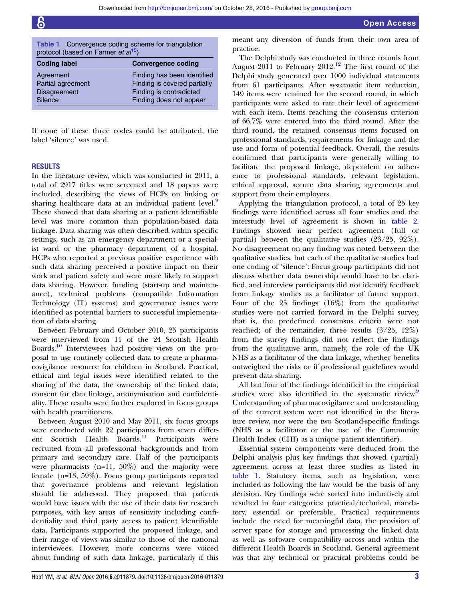<span id="page-2-0"></span>

| Table 1 Convergence coding scheme for triangulation<br>protocol (based on Farmer et al <sup>15</sup> ) |                              |  |
|--------------------------------------------------------------------------------------------------------|------------------------------|--|
| <b>Coding label</b><br><b>Convergence coding</b>                                                       |                              |  |
| Agreement                                                                                              | Finding has been identified  |  |
| Partial agreement                                                                                      | Finding is covered partially |  |
| <b>Disagreement</b>                                                                                    | Finding is contradicted      |  |
| Silence                                                                                                | Finding does not appear      |  |
|                                                                                                        |                              |  |

If none of these three codes could be attributed, the label 'silence' was used.

# RESULTS

In the literature review, which was conducted in 2011, a total of 2917 titles were screened and 18 papers were included, describing the views of HCPs on linking or sharing healthcare data at an individual patient level.<sup>[9](#page-6-0)</sup> These showed that data sharing at a patient identifiable level was more common than population-based data linkage. Data sharing was often described within specific settings, such as an emergency department or a specialist ward or the pharmacy department of a hospital. HCPs who reported a previous positive experience with such data sharing perceived a positive impact on their work and patient safety and were more likely to support data sharing. However, funding (start-up and maintenance), technical problems (compatible Information Technology (IT) systems) and governance issues were identified as potential barriers to successful implementation of data sharing.

Between February and October 2010, 25 participants were interviewed from 11 of the 24 Scottish Health Boards.[10](#page-6-0) Interviewees had positive views on the proposal to use routinely collected data to create a pharmacovigilance resource for children in Scotland. Practical, ethical and legal issues were identified related to the sharing of the data, the ownership of the linked data, consent for data linkage, anonymisation and confidentiality. These results were further explored in focus groups with health practitioners.

Between August 2010 and May 2011, six focus groups were conducted with 22 participants from seven differ-ent Scottish Health Boards.<sup>[11](#page-6-0)</sup> Participants were recruited from all professional backgrounds and from primary and secondary care. Half of the participants were pharmacists  $(n=11, 50\%)$  and the majority were female (n=13, 59%). Focus group participants reported that governance problems and relevant legislation should be addressed. They proposed that patients would have issues with the use of their data for research purposes, with key areas of sensitivity including confidentiality and third party access to patient identifiable data. Participants supported the proposed linkage, and their range of views was similar to those of the national interviewees. However, more concerns were voiced about funding of such data linkage, particularly if this

meant any diversion of funds from their own area of practice.

The Delphi study was conducted in three rounds from August 2011 to February  $2012<sup>12</sup>$  $2012<sup>12</sup>$  $2012<sup>12</sup>$ . The first round of the Delphi study generated over 1000 individual statements from 61 participants. After systematic item reduction, 149 items were retained for the second round, in which participants were asked to rate their level of agreement with each item. Items reaching the consensus criterion of 66.7% were entered into the third round. After the third round, the retained consensus items focused on professional standards, requirements for linkage and the use and form of potential feedback. Overall, the results confirmed that participants were generally willing to facilitate the proposed linkage, dependent on adherence to professional standards, relevant legislation, ethical approval, secure data sharing agreements and support from their employers.

Applying the triangulation protocol, a total of 25 key findings were identified across all four studies and the interstudy level of agreement is shown in [table 2.](#page-3-0) Findings showed near perfect agreement (full or partial) between the qualitative studies (23/25, 92%). No disagreement on any finding was noted between the qualitative studies, but each of the qualitative studies had one coding of 'silence': Focus group participants did not discuss whether data ownership would have to be clarified, and interview participants did not identify feedback from linkage studies as a facilitator of future support. Four of the 25 findings (16%) from the qualitative studies were not carried forward in the Delphi survey, that is, the predefined consensus criteria were not reached; of the remainder, three results (3/25, 12%) from the survey findings did not reflect the findings from the qualitative arm, namely, the role of the UK NHS as a facilitator of the data linkage, whether benefits outweighed the risks or if professional guidelines would prevent data sharing.

All but four of the findings identified in the empirical studies were also identified in the systematic review.<sup>[9](#page-6-0)</sup> Understanding of pharmacovigilance and understanding of the current system were not identified in the literature review, nor were the two Scotland-specific findings (NHS as a facilitator or the use of the Community Health Index (CHI) as a unique patient identifier).

Essential system components were deduced from the Delphi analysis plus key findings that showed (partial) agreement across at least three studies as listed in table 1. Statutory items, such as legislation, were included as following the law would be the basis of any decision. Key findings were sorted into inductively and resulted in four categories: practical/technical, mandatory, essential or preferable. Practical requirements include the need for meaningful data, the provision of server space for storage and processing the linked data as well as software compatibility across and within the different Health Boards in Scotland. General agreement was that any technical or practical problems could be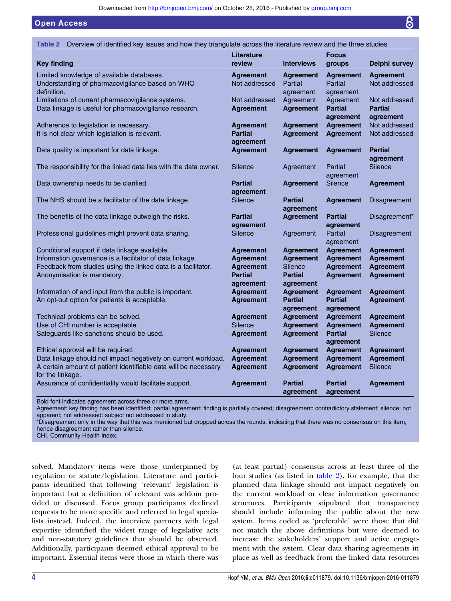# <span id="page-3-0"></span>Open Access

| Overview of identified key issues and how they triangulate across the literature review and the three studies<br>Table 2 |                                      |                             |                                      |                      |
|--------------------------------------------------------------------------------------------------------------------------|--------------------------------------|-----------------------------|--------------------------------------|----------------------|
|                                                                                                                          | Literature                           |                             | <b>Focus</b>                         |                      |
| <b>Key finding</b>                                                                                                       | review                               | <b>Interviews</b>           | groups                               | <b>Delphi survey</b> |
| Limited knowledge of available databases.                                                                                | Agreement                            | <b>Agreement</b>            | <b>Agreement</b>                     | <b>Agreement</b>     |
| Understanding of pharmacovigilance based on WHO                                                                          | Not addressed                        | Partial                     | Partial                              | Not addressed        |
| definition.                                                                                                              |                                      | agreement                   | agreement                            |                      |
| Limitations of current pharmacovigilance systems.                                                                        | Not addressed                        | Agreement                   | Agreement                            | Not addressed        |
| Data linkage is useful for pharmacovigilance research.                                                                   | <b>Agreement</b>                     | <b>Agreement</b>            | <b>Partial</b>                       | <b>Partial</b>       |
|                                                                                                                          |                                      |                             | agreement                            | agreement            |
| Adherence to legislation is necessary.                                                                                   | <b>Agreement</b>                     | <b>Agreement</b>            | <b>Agreement</b>                     | Not addressed        |
| It is not clear which legislation is relevant.                                                                           | <b>Partial</b>                       | <b>Agreement</b>            | <b>Agreement</b>                     | Not addressed        |
|                                                                                                                          | agreement                            |                             |                                      |                      |
| Data quality is important for data linkage.                                                                              | <b>Agreement</b>                     | <b>Agreement</b>            | <b>Agreement</b>                     | <b>Partial</b>       |
|                                                                                                                          |                                      |                             |                                      | agreement            |
| The responsibility for the linked data lies with the data owner.                                                         | Silence                              | Agreement                   | Partial                              | Silence              |
|                                                                                                                          |                                      |                             | agreement                            |                      |
| Data ownership needs to be clarified.                                                                                    | <b>Partial</b>                       | <b>Agreement</b>            | Silence                              | <b>Agreement</b>     |
|                                                                                                                          | agreement                            |                             |                                      |                      |
| The NHS should be a facilitator of the data linkage.                                                                     | Silence                              | <b>Partial</b>              | <b>Agreement</b>                     | Disagreement         |
|                                                                                                                          |                                      | agreement                   |                                      |                      |
| The benefits of the data linkage outweigh the risks.                                                                     | <b>Partial</b>                       | <b>Agreement</b>            | <b>Partial</b>                       | Disagreement*        |
|                                                                                                                          | agreement                            |                             | agreement                            |                      |
| Professional guidelines might prevent data sharing.                                                                      | <b>Silence</b>                       | Agreement                   | Partial                              | Disagreement         |
| Conditional support if data linkage available.                                                                           |                                      | <b>Agreement</b>            | agreement                            | <b>Agreement</b>     |
| Information governance is a facilitator of data linkage.                                                                 | <b>Agreement</b>                     |                             | <b>Agreement</b>                     | <b>Agreement</b>     |
| Feedback from studies using the linked data is a facilitator.                                                            | <b>Agreement</b><br><b>Agreement</b> | <b>Agreement</b><br>Silence | <b>Agreement</b><br><b>Agreement</b> | <b>Agreement</b>     |
| Anonymisation is mandatory.                                                                                              | <b>Partial</b>                       | <b>Partial</b>              | <b>Agreement</b>                     | <b>Agreement</b>     |
|                                                                                                                          | agreement                            | agreement                   |                                      |                      |
| Information of and input from the public is important.                                                                   | <b>Agreement</b>                     | <b>Agreement</b>            | <b>Agreement</b>                     | <b>Agreement</b>     |
| An opt-out option for patients is acceptable.                                                                            | <b>Agreement</b>                     | <b>Partial</b>              | <b>Partial</b>                       | <b>Agreement</b>     |
|                                                                                                                          |                                      | agreement                   | agreement                            |                      |
| Technical problems can be solved.                                                                                        | <b>Agreement</b>                     | <b>Agreement</b>            | <b>Agreement</b>                     | <b>Agreement</b>     |
| Use of CHI number is acceptable.                                                                                         | Silence                              | <b>Agreement</b>            | <b>Agreement</b>                     | <b>Agreement</b>     |
| Safeguards like sanctions should be used.                                                                                | <b>Agreement</b>                     | <b>Agreement</b>            | <b>Partial</b>                       | Silence              |
|                                                                                                                          |                                      |                             | agreement                            |                      |
| Ethical approval will be required.                                                                                       | Agreement                            | <b>Agreement</b>            | <b>Agreement</b>                     | <b>Agreement</b>     |
| Data linkage should not impact negatively on current workload.                                                           | <b>Agreement</b>                     | <b>Agreement</b>            | <b>Agreement</b>                     | <b>Agreement</b>     |
| A certain amount of patient identifiable data will be necessary                                                          | <b>Agreement</b>                     | <b>Agreement</b>            | <b>Agreement</b>                     | Silence              |
| for the linkage.                                                                                                         |                                      |                             |                                      |                      |
| Assurance of confidentiality would facilitate support.                                                                   | <b>Agreement</b>                     | <b>Partial</b>              | <b>Partial</b>                       | <b>Agreement</b>     |
|                                                                                                                          |                                      | agreement                   | agreement                            |                      |
|                                                                                                                          |                                      |                             |                                      |                      |

Bold font indicates agreement across three or more arms.

Agreement: key finding has been identified; partial agreement: finding is partially covered; disagreement: contradictory statement; silence: not apparent; not addressed: subject not addressed in study.

\*Disagreement only in the way that this was mentioned but dropped across the rounds, indicating that there was no consensus on this item, hence disagreement rather than silence.

CHI, Community Health Index.

solved. Mandatory items were those underpinned by regulation or statute/legislation. Literature and participants identified that following 'relevant' legislation is important but a definition of relevant was seldom provided or discussed. Focus group participants declined requests to be more specific and referred to legal specialists instead. Indeed, the interview partners with legal expertise identified the widest range of legislative acts and non-statutory guidelines that should be observed. Additionally, participants deemed ethical approval to be important. Essential items were those in which there was

(at least partial) consensus across at least three of the four studies (as listed in table 2), for example, that the planned data linkage should not impact negatively on the current workload or clear information governance structures. Participants stipulated that transparency should include informing the public about the new system. Items coded as 'preferable' were those that did not match the above definitions but were deemed to increase the stakeholders' support and active engagement with the system. Clear data sharing agreements in place as well as feedback from the linked data resources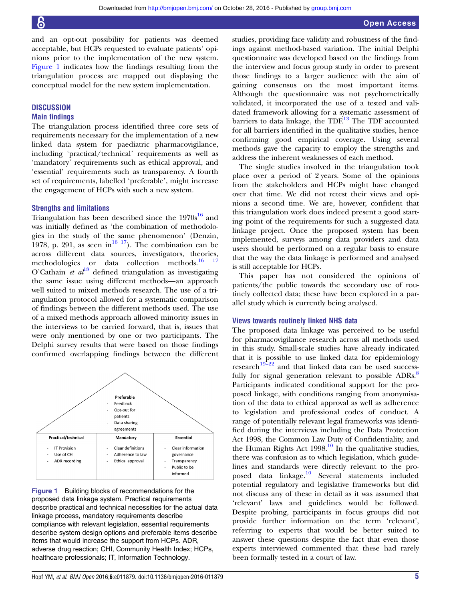<span id="page-4-0"></span>and an opt-out possibility for patients was deemed acceptable, but HCPs requested to evaluate patients' opinions prior to the implementation of the new system. Figure 1 indicates how the findings resulting from the triangulation process are mapped out displaying the conceptual model for the new system implementation.

### **DISCUSSION** Main findings

The triangulation process identified three core sets of requirements necessary for the implementation of a new linked data system for paediatric pharmacovigilance, including 'practical/technical' requirements as well as 'mandatory' requirements such as ethical approval, and 'essential' requirements such as transparency. A fourth set of requirements, labelled 'preferable', might increase the engagement of HCPs with such a new system.

# Strengths and limitations

Triangulation has been described since the  $1970s^{16}$  $1970s^{16}$  $1970s^{16}$  and was initially defined as 'the combination of methodologies in the study of the same phenomenon' (Denzin, 1978, p. 291, as seen in<sup>[16 17](#page-7-0)</sup>). The combination can be across different data sources, investigators, theories, methodologies or data collection methods.<sup>16</sup> O'Cathain et  $al^{18}$  $al^{18}$  $al^{18}$  defined triangulation as investigating the same issue using different methods—an approach well suited to mixed methods research. The use of a triangulation protocol allowed for a systematic comparison of findings between the different methods used. The use of a mixed methods approach allowed minority issues in the interviews to be carried forward, that is, issues that were only mentioned by one or two participants. The Delphi survey results that were based on those findings confirmed overlapping findings between the different



Figure 1 Building blocks of recommendations for the proposed data linkage system. Practical requirements describe practical and technical necessities for the actual data linkage process, mandatory requirements describe compliance with relevant legislation, essential requirements describe system design options and preferable items describe items that would increase the support from HCPs. ADR, adverse drug reaction; CHI, Community Health Index; HCPs, healthcare professionals; IT, Information Technology.

studies, providing face validity and robustness of the findings against method-based variation. The initial Delphi questionnaire was developed based on the findings from the interview and focus group study in order to present those findings to a larger audience with the aim of gaining consensus on the most important items. Although the questionnaire was not psychometrically validated, it incorporated the use of a tested and validated framework allowing for a systematic assessment of barriers to data linkage, the TDF.<sup>13</sup> The TDF accounted for all barriers identified in the qualitative studies, hence confirming good empirical coverage. Using several methods gave the capacity to employ the strengths and address the inherent weaknesses of each method.

The single studies involved in the triangulation took place over a period of 2 years. Some of the opinions from the stakeholders and HCPs might have changed over that time. We did not retest their views and opinions a second time. We are, however, confident that this triangulation work does indeed present a good starting point of the requirements for such a suggested data linkage project. Once the proposed system has been implemented, surveys among data providers and data users should be performed on a regular basis to ensure that the way the data linkage is performed and analysed is still acceptable for HCPs.

This paper has not considered the opinions of patients/the public towards the secondary use of routinely collected data; these have been explored in a parallel study which is currently being analysed.

### Views towards routinely linked NHS data

The proposed data linkage was perceived to be useful for pharmacovigilance research across all methods used in this study. Small-scale studies have already indicated that it is possible to use linked data for epidemiology research $19-22$  and that linked data can be used success-fully for signal generation relevant to possible ADRs.<sup>[8](#page-6-0)</sup> Participants indicated conditional support for the proposed linkage, with conditions ranging from anonymisation of the data to ethical approval as well as adherence to legislation and professional codes of conduct. A range of potentially relevant legal frameworks was identified during the interviews including the Data Protection Act 1998, the Common Law Duty of Confidentiality, and the Human Rights Act  $1998$ .<sup>10</sup> In the qualitative studies, there was confusion as to which legislation, which guidelines and standards were directly relevant to the proposed data linkage.<sup>10</sup> Several statements included potential regulatory and legislative frameworks but did not discuss any of these in detail as it was assumed that 'relevant' laws and guidelines would be followed. Despite probing, participants in focus groups did not provide further information on the term 'relevant', referring to experts that would be better suited to answer these questions despite the fact that even those experts interviewed commented that these had rarely been formally tested in a court of law.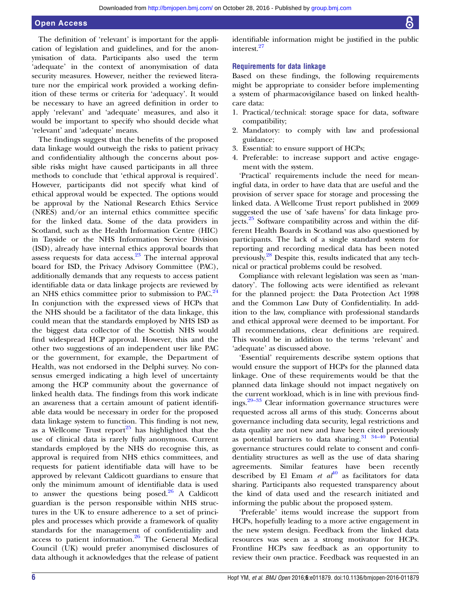# Open Access

The definition of 'relevant' is important for the application of legislation and guidelines, and for the anonymisation of data. Participants also used the term 'adequate' in the context of anonymisation of data security measures. However, neither the reviewed literature nor the empirical work provided a working definition of these terms or criteria for 'adequacy'. It would be necessary to have an agreed definition in order to apply 'relevant' and 'adequate' measures, and also it would be important to specify who should decide what 'relevant' and 'adequate' means.

The findings suggest that the benefits of the proposed data linkage would outweigh the risks to patient privacy and confidentiality although the concerns about possible risks might have caused participants in all three methods to conclude that 'ethical approval is required'. However, participants did not specify what kind of ethical approval would be expected. The options would be approval by the National Research Ethics Service (NRES) and/or an internal ethics committee specific for the linked data. Some of the data providers in Scotland, such as the Health Information Centre (HIC) in Tayside or the NHS Information Service Division (ISD), already have internal ethics approval boards that assess requests for data access. $23$  The internal approval board for ISD, the Privacy Advisory Committee (PAC), additionally demands that any requests to access patient identifiable data or data linkage projects are reviewed by an NHS ethics committee prior to submission to PAC. $^{24}$  $^{24}$  $^{24}$ In conjunction with the expressed views of HCPs that the NHS should be a facilitator of the data linkage, this could mean that the standards employed by NHS ISD as the biggest data collector of the Scottish NHS would find widespread HCP approval. However, this and the other two suggestions of an independent user like PAC or the government, for example, the Department of Health, was not endorsed in the Delphi survey. No consensus emerged indicating a high level of uncertainty among the HCP community about the governance of linked health data. The findings from this work indicate an awareness that a certain amount of patient identifiable data would be necessary in order for the proposed data linkage system to function. This finding is not new, as a Wellcome Trust report<sup>[25](#page-7-0)</sup> has highlighted that the use of clinical data is rarely fully anonymous. Current standards employed by the NHS do recognise this, as approval is required from NHS ethics committees, and requests for patient identifiable data will have to be approved by relevant Caldicott guardians to ensure that only the minimum amount of identifiable data is used to answer the questions being posed. $26$  A Caldicott guardian is the person responsible within NHS structures in the UK to ensure adherence to a set of principles and processes which provide a framework of quality standards for the management of confidentiality and access to patient information.<sup>[26](#page-7-0)</sup> The General Medical Council (UK) would prefer anonymised disclosures of data although it acknowledges that the release of patient

identifiable information might be justified in the public interest.<sup>27</sup>

#### Requirements for data linkage

Based on these findings, the following requirements might be appropriate to consider before implementing a system of pharmacovigilance based on linked healthcare data:

- 1. Practical/technical: storage space for data, software compatibility;
- 2. Mandatory: to comply with law and professional guidance;
- 3. Essential: to ensure support of HCPs;
- 4. Preferable: to increase support and active engagement with the system.

'Practical' requirements include the need for meaningful data, in order to have data that are useful and the provision of server space for storage and processing the linked data. A Wellcome Trust report published in 2009 suggested the use of 'safe havens' for data linkage projects[.25](#page-7-0) Software compatibility across and within the different Health Boards in Scotland was also questioned by participants. The lack of a single standard system for reporting and recording medical data has been noted previously.[28](#page-7-0) Despite this, results indicated that any technical or practical problems could be resolved.

Compliance with relevant legislation was seen as 'mandatory'. The following acts were identified as relevant for the planned project: the Data Protection Act 1998 and the Common Law Duty of Confidentiality. In addition to the law, compliance with professional standards and ethical approval were deemed to be important. For all recommendations, clear definitions are required. This would be in addition to the terms 'relevant' and 'adequate' as discussed above.

'Essential' requirements describe system options that would ensure the support of HCPs for the planned data linkage. One of these requirements would be that the planned data linkage should not impact negatively on the current workload, which is in line with previous findings.29–[33](#page-7-0) Clear information governance structures were requested across all arms of this study. Concerns about governance including data security, legal restrictions and data quality are not new and have been cited previously as potential barriers to data sharing. $31 \frac{34-40}{2}$  Potential governance structures could relate to consent and confidentiality structures as well as the use of data sharing agreements. Similar features have been recently described by El Emam et  $a^{40}$  $a^{40}$  $a^{40}$  as facilitators for data sharing. Participants also requested transparency about the kind of data used and the research initiated and informing the public about the proposed system.

'Preferable' items would increase the support from HCPs, hopefully leading to a more active engagement in the new system design. Feedback from the linked data resources was seen as a strong motivator for HCPs. Frontline HCPs saw feedback as an opportunity to review their own practice. Feedback was requested in an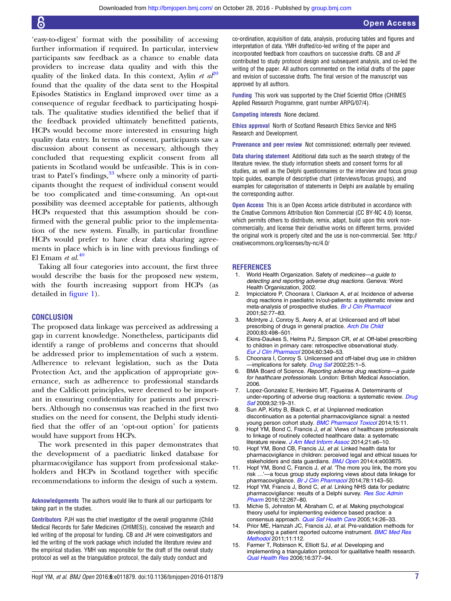<span id="page-6-0"></span>'easy-to-digest' format with the possibility of accessing further information if required. In particular, interview participants saw feedback as a chance to enable data providers to increase data quality and with this the quality of the linked data. In this context, Aylin et  $a\ell^{0}$ found that the quality of the data sent to the Hospital Episodes Statistics in England improved over time as a consequence of regular feedback to participating hospitals. The qualitative studies identified the belief that if the feedback provided ultimately benefitted patients, HCPs would become more interested in ensuring high quality data entry. In terms of consent, participants saw a discussion about consent as necessary, although they concluded that requesting explicit consent from all patients in Scotland would be unfeasible. This is in con-trast to Patel's findings,<sup>[33](#page-7-0)</sup> where only a minority of participants thought the request of individual consent would be too complicated and time-consuming. An opt-out possibility was deemed acceptable for patients, although HCPs requested that this assumption should be confirmed with the general public prior to the implementation of the new system. Finally, in particular frontline HCPs would prefer to have clear data sharing agreements in place which is in line with previous findings of El Emam et  $al$ .<sup>[40](#page-7-0)</sup>

Taking all four categories into account, the first three would describe the basis for the proposed new system, with the fourth increasing support from HCPs (as detailed in fi[gure 1\)](#page-4-0).

#### **CONCLUSION**

The proposed data linkage was perceived as addressing a gap in current knowledge. Nonetheless, participants did identify a range of problems and concerns that should be addressed prior to implementation of such a system. Adherence to relevant legislation, such as the Data Protection Act, and the application of appropriate governance, such as adherence to professional standards and the Caldicott principles, were deemed to be important in ensuring confidentiality for patients and prescribers. Although no consensus was reached in the first two studies on the need for consent, the Delphi study identified that the offer of an 'opt-out option' for patients would have support from HCPs.

The work presented in this paper demonstrates that the development of a paediatric linked database for pharmacovigilance has support from professional stakeholders and HCPs in Scotland together with specific recommendations to inform the design of such a system.

Acknowledgements The authors would like to thank all our participants for taking part in the studies.

Contributors PJH was the chief investigator of the overall programme (Child Medical Records for Safer Medicines (CHIMES)), conceived the research and led writing of the proposal for funding. CB and JH were coinvestigators and led the writing of the work package which included the literature review and the empirical studies. YMH was responsible for the draft of the overall study protocol as well as the triangulation protocol, the daily study conduct and

co-ordination, acquisition of data, analysis, producing tables and figures and interpretation of data. YMH drafted/co-led writing of the paper and incorporated feedback from coauthors on successive drafts. CB and JF contributed to study protocol design and subsequent analysis, and co-led the writing of the paper. All authors commented on the initial drafts of the paper and revision of successive drafts. The final version of the manuscript was approved by all authors.

Funding This work was supported by the Chief Scientist Office (CHIMES Applied Research Programme, grant number ARPG/07/4).

Competing interests None declared.

Ethics approval North of Scotland Research Ethics Service and NHS Research and Development.

Provenance and peer review Not commissioned; externally peer reviewed.

Data sharing statement Additional data such as the search strategy of the literature review, the study information sheets and consent forms for all studies, as well as the Delphi questionnaires or the interview and focus group topic guides, example of descriptive chart (interviews/focus groups), and examples for categorisation of statements in Delphi are available by emailing the corresponding author.

**Open Access** This is an Open Access article distributed in accordance with the Creative Commons Attribution Non Commercial (CC BY-NC 4.0) license, which permits others to distribute, remix, adapt, build upon this work noncommercially, and license their derivative works on different terms, provided the original work is properly cited and the use is non-commercial. See: [http://](http://creativecommons.org/licenses/by-nc/4.0/) [creativecommons.org/licenses/by-nc/4.0/](http://creativecommons.org/licenses/by-nc/4.0/)

#### REFERENCES

- 1. World Health Organization. Safety of medicines—a guide to detecting and reporting adverse drug reactions. Geneva: Word Health Organiszation, 2002.
- Impicciatore P, Choonara I, Clarkson A, et al. Incidence of adverse drug reactions in paediatric in/out-patients: a systematic review and meta-analysis of prospective studies. [Br J Clin Pharmacol](http://dx.doi.org/10.1046/j.0306-5251.2001.01407.x) 2001;52:77–83.
- 3. McIntyre J, Conroy S, Avery A, et al. Unlicensed and off label prescribing of drugs in general practice. [Arch Dis Child](http://dx.doi.org/10.1136/adc.83.6.498) 2000;83:498–501.
- 4. Ekins-Daukes S, Helms PJ, Simpson CR, et al. Off-label prescribing to children in primary care: retrospective observational study. [Eur J Clin Pharmacol](http://dx.doi.org/10.1007/s00228-004-0752-1) 2004;60:349–53.
- 5. Choonara I, Conroy S. Unlicensed and off-label drug use in children —implications for safety. [Drug Saf](http://dx.doi.org/10.2165/00002018-200225010-00001) 2002;25:1–5.
- 6. BMA Board of Science. Reporting adverse drug reactions—a guide for healthcare professionals. London: British Medical Association, 2006.
- 7. Lopez-Gonzalez E, Herdeiro MT, Figueiras A. Determinants of under-reporting of adverse drug reactions: a systematic review. [Drug](http://dx.doi.org/10.2165/00002018-200932010-00002) [Saf](http://dx.doi.org/10.2165/00002018-200932010-00002) 2009:32:19-31.
- 8. Sun AP, Kirby B, Black C, et al. Unplanned medication discontinuation as a potential pharmacovigilance signal: a nested young person cohort study. [BMC Pharmacol Toxicol](http://dx.doi.org/10.1186/2050-6511-15-11) 2014;15:11.
- 9. Hopf YM, Bond C, Francis J, et al. Views of healthcare professionals to linkage of routinely collected healthcare data: a systematic literature review. [J Am Med Inform Assoc](http://dx.doi.org/10.1136/amiajnl-2012-001575) 2014;21:e6-10.
- Hopf YM, Bond CB, Francis JJ, et al. Linked health data for pharmacovigilance in children: perceived legal and ethical issues for stakeholders and data guardians. [BMJ Open](http://dx.doi.org/10.1136/bmjopen-2013-003875) 2014;4:e003875.
- 11. Hopf YM, Bond C, Francis J, et al. 'The more you link, the more you risk …'—a focus group study exploring views about data linkage for pharmacovigilance. [Br J Clin Pharmacol](http://dx.doi.org/10.1111/bcp.12445) 2014;78:1143-50.
- 12. Hopf YM, Francis J, Bond C, et al. Linking NHS data for pediatric pharmacovigilance: results of a Delphi survey. [Res Soc Admin](http://dx.doi.org/10.1016/j.sapharm.2015.06.006) [Pharm](http://dx.doi.org/10.1016/j.sapharm.2015.06.006) 2016;12:267–80.
- 13. Michie S, Johnston M, Abraham C, et al. Making psychological theory useful for implementing evidence based practice: a consensus approach. [Qual Saf Health Care](http://dx.doi.org/10.1136/qshc.2004.011155) 2005;14:26-33.
- 14. Prior ME, Hamzah JC, Francis JJ, et al. Pre-validation methods for developing a patient reported outcome instrument. **[BMC Med Res](http://dx.doi.org/10.1186/1471-2288-11-112)** [Methodol](http://dx.doi.org/10.1186/1471-2288-11-112) 2011;11:112.
- 15. Farmer T, Robinson K, Elliott SJ, et al. Developing and implementing a triangulation protocol for qualitative health research. [Qual Health Res](http://dx.doi.org/10.1177/1049732305285708) 2006;16:377–94.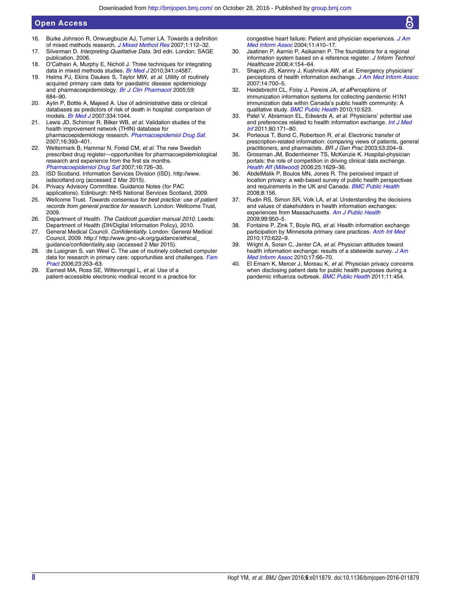- <span id="page-7-0"></span>16. Burke Johnson R, Onwuegbuzie AJ, Turner LA. Towards a definition of mixed methods research. [J Mixed Method Res](http://dx.doi.org/10.1177/1558689806298224) 2007;1:112-32.
- 17. Silverman D. Interpreting Qualitative Data. 3rd edn. London: SAGE publication, 2006.
- 18. O'Cathain A, Murphy E, Nicholl J. Three techniques for integrating data in mixed methods studies. [Br Med J](http://dx.doi.org/10.1136/bmj.c4587) 2010;341:c4587.
- 19. Helms PJ, Ekins Daukes S, Taylor MW, et al. Utility of routinely acquired primary care data for paediatric disease epidemiology and pharmacoepidemiology. [Br J Clin Pharmacol](http://dx.doi.org/10.1111/j.1365-2125.2005.02404.x) 2005;59: 684–90.
- 20. Aylin P, Bottle A, Majeed A. Use of administrative data or clinical databases as predictors of risk of death in hospital: comparison of models. [Br Med J](http://dx.doi.org/10.1136/bmj.39168.496366.55) 2007;334:1044.
- 21. Lewis JD, Schinnar R, Bilker WB, et al. Validation studies of the health improvement network (THIN) database for pharmacoepidemiology research. [Pharmacoepidemiol Drug Saf.](http://dx.doi.org/10.1002/pds.1335) 2007;16:393–401.
- 22. Wettermark B, Hammar N, Fored CM, et al. The new Swedish prescribed drug register—opportunities for pharmacoepidemiological research and experience from the first six months. [Pharmacoepidemiol Drug Saf](http://dx.doi.org/10.1002/pds.1294) 2007;16:726–35.
- 23. ISD Scotland. Information Services Division (ISD). [http://www.](http://www.isdscotland.org) [isdscotland.org](http://www.isdscotland.org) (accessed 2 Mar 2015).
- 24. Privacy Advisory Committee. Guidance Notes (for PAC applications). Edinburgh: NHS National Services Scotland, 2009.
- 25. Wellcome Trust. Towards consensus for best practice: use of patient records from general practice for research. London: Wellcome Trust, 2009.
- 26. Department of Health. The Caldicott quardian manual 2010. Leeds: Department of Health (DH/Digital Information Policy), 2010.
- 27. General Medical Council. Confidentiality. London: General Medical Council, 2009. http:// [http://www.gmc-uk.org/guidance/ethical\\_](http://www.gmc-uk.org/guidance/ethical_guidance/confidentiality.asp) [guidance/confidentiality.asp](http://www.gmc-uk.org/guidance/ethical_guidance/confidentiality.asp) (accessed 2 Mar 2015).
- 28. de Lusignan S, van Weel C. The use of routinely collected computer data for research in primary care: opportunities and challenges. [Fam](http://dx.doi.org/10.1093/fampra/cmi106) [Pract](http://dx.doi.org/10.1093/fampra/cmi106) 2006;23:253–63.
- 29. Earnest MA, Ross SE, Wittevrongel L, et al. Use of a patient-accessible electronic medical record in a practice for

congestive heart failure: Patient and physician experiences. [J Am](http://dx.doi.org/10.1197/jamia.M1479) [Med Inform Assoc](http://dx.doi.org/10.1197/jamia.M1479) 2004;11:410–17.

- 30. Jaatinen P, Aarnio P, Asikainen P. The foundations for a regional information system based on a reference register. J Inform Technol Healthcare 2006;4:154–64.
- 31. Shapiro JS, Kannry J, Kushniruk AW, et al. Emergency physicians' perceptions of health information exchange. [J Am Med Inform Assoc](http://dx.doi.org/10.1197/jamia.M2507) 2007;14:700–5.
- 32. Heidebrecht CL, Foisy J, Pereira JA, et alPerceptions of immunization information systems for collecting pandemic H1N1 immunization data within Canada's public health community: A qualitative study. [BMC Public Health](http://dx.doi.org/10.1186/1471-2458-10-523) 2010;10:523.
- Patel V, Abramson EL, Edwards A, et al. Physicians' potential use and preferences related to health information exchange. [Int J Med](http://dx.doi.org/10.1016/j.ijmedinf.2010.11.008) [Inf](http://dx.doi.org/10.1016/j.ijmedinf.2010.11.008) 2011;80:171–80.
- 34. Porteous T, Bond C, Robertson R, et al. Electronic transfer of prescription-related information: comparing views of patients, general practitioners, and pharmacists. BR J Gen Prac 2003;53:204-9
- 35. Grossman JM, Bodenheimer TS, McKenzie K. Hospital-physician portals: the role of competition in driving clinical data exchange. [Health Aff \(Millwood\)](http://dx.doi.org/10.1377/hlthaff.25.6.1629) 2006;25:1629–36.
- 36. AbdelMalik P, Boulos MN, Jones R. The perceived impact of location privacy: a web-based survey of public health perspectives and requirements in the UK and Canada. [BMC Public Health](http://dx.doi.org/10.1186/1471-2458-8-156) 2008;8:156.
- 37. Rudin RS, Simon SR, Volk LA, et al. Understanding the decisions and values of stakeholders in health information exchanges: experiences from Massachusetts. [Am J Public Health](http://dx.doi.org/10.2105/AJPH.2008.144873) 2009;99:950–5.
- 38. Fontaine P, Zink T, Boyle RG, et al. Health information exchange: participation by Minnesota primary care practices. [Arch Int Med](http://dx.doi.org/10.1001/archinternmed.2010.54) 2010;170:622–9.
- 39. Wright A, Soran C, Jenter CA, et al. Physician attitudes toward health information exchange: results of a statewide survey. [J Am](http://dx.doi.org/10.1197/jamia.M3241) [Med Inform Assoc](http://dx.doi.org/10.1197/jamia.M3241) 2010;17:66–70.
- 40. El Emam K, Mercer J, Moreau K, et al. Physician privacy concerns when disclosing patient data for public health purposes during a pandemic influenza outbreak. **[BMC Public Health](http://dx.doi.org/10.1186/1471-2458-11-454) 2011**;11:454.